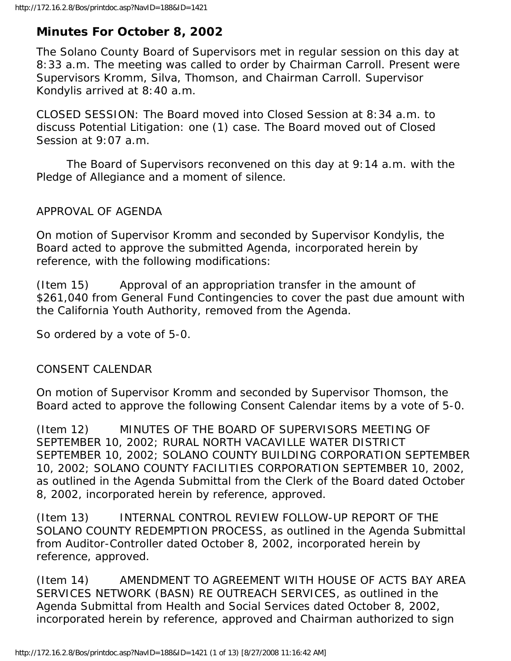## **Minutes For October 8, 2002**

The Solano County Board of Supervisors met in regular session on this day at 8:33 a.m. The meeting was called to order by Chairman Carroll. Present were Supervisors Kromm, Silva, Thomson, and Chairman Carroll. Supervisor Kondylis arrived at 8:40 a.m.

CLOSED SESSION: The Board moved into Closed Session at 8:34 a.m. to discuss Potential Litigation: one (1) case. The Board moved out of Closed Session at 9:07 a.m.

 The Board of Supervisors reconvened on this day at 9:14 a.m. with the Pledge of Allegiance and a moment of silence.

APPROVAL OF AGENDA

On motion of Supervisor Kromm and seconded by Supervisor Kondylis, the Board acted to approve the submitted Agenda, incorporated herein by reference, with the following modifications:

(Item 15) Approval of an appropriation transfer in the amount of \$261,040 from General Fund Contingencies to cover the past due amount with the California Youth Authority, removed from the Agenda.

So ordered by a vote of 5-0.

## CONSENT CALENDAR

On motion of Supervisor Kromm and seconded by Supervisor Thomson, the Board acted to approve the following Consent Calendar items by a vote of 5-0.

(Item 12) MINUTES OF THE BOARD OF SUPERVISORS MEETING OF SEPTEMBER 10, 2002; RURAL NORTH VACAVILLE WATER DISTRICT SEPTEMBER 10, 2002; SOLANO COUNTY BUILDING CORPORATION SEPTEMBER 10, 2002; SOLANO COUNTY FACILITIES CORPORATION SEPTEMBER 10, 2002, as outlined in the Agenda Submittal from the Clerk of the Board dated October 8, 2002, incorporated herein by reference, approved.

(Item 13) INTERNAL CONTROL REVIEW FOLLOW-UP REPORT OF THE SOLANO COUNTY REDEMPTION PROCESS, as outlined in the Agenda Submittal from Auditor-Controller dated October 8, 2002, incorporated herein by reference, approved.

(Item 14) AMENDMENT TO AGREEMENT WITH HOUSE OF ACTS BAY AREA SERVICES NETWORK (BASN) RE OUTREACH SERVICES, as outlined in the Agenda Submittal from Health and Social Services dated October 8, 2002, incorporated herein by reference, approved and Chairman authorized to sign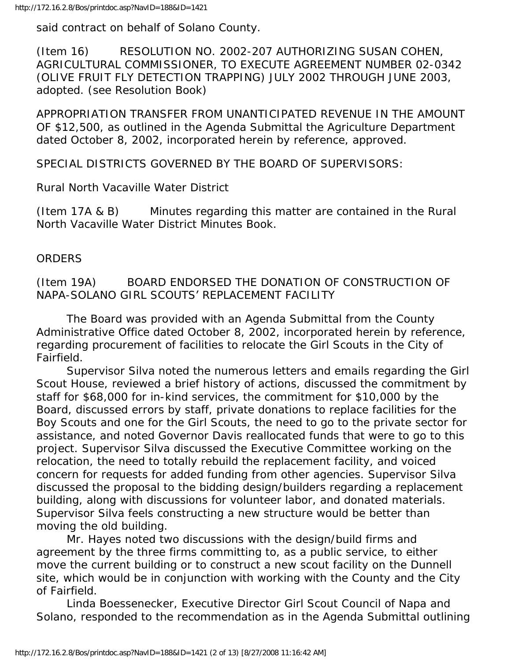said contract on behalf of Solano County.

(Item 16) RESOLUTION NO. 2002-207 AUTHORIZING SUSAN COHEN, AGRICULTURAL COMMISSIONER, TO EXECUTE AGREEMENT NUMBER 02-0342 (OLIVE FRUIT FLY DETECTION TRAPPING) JULY 2002 THROUGH JUNE 2003, adopted. (see Resolution Book)

APPROPRIATION TRANSFER FROM UNANTICIPATED REVENUE IN THE AMOUNT OF \$12,500, as outlined in the Agenda Submittal the Agriculture Department dated October 8, 2002, incorporated herein by reference, approved.

SPECIAL DISTRICTS GOVERNED BY THE BOARD OF SUPERVISORS:

Rural North Vacaville Water District

(Item 17A & B) Minutes regarding this matter are contained in the Rural North Vacaville Water District Minutes Book.

## **ORDERS**

(Item 19A) BOARD ENDORSED THE DONATION OF CONSTRUCTION OF NAPA-SOLANO GIRL SCOUTS' REPLACEMENT FACILITY

 The Board was provided with an Agenda Submittal from the County Administrative Office dated October 8, 2002, incorporated herein by reference, regarding procurement of facilities to relocate the Girl Scouts in the City of Fairfield.

 Supervisor Silva noted the numerous letters and emails regarding the Girl Scout House, reviewed a brief history of actions, discussed the commitment by staff for \$68,000 for in-kind services, the commitment for \$10,000 by the Board, discussed errors by staff, private donations to replace facilities for the Boy Scouts and one for the Girl Scouts, the need to go to the private sector for assistance, and noted Governor Davis reallocated funds that were to go to this project. Supervisor Silva discussed the Executive Committee working on the relocation, the need to totally rebuild the replacement facility, and voiced concern for requests for added funding from other agencies. Supervisor Silva discussed the proposal to the bidding design/builders regarding a replacement building, along with discussions for volunteer labor, and donated materials. Supervisor Silva feels constructing a new structure would be better than moving the old building.

 Mr. Hayes noted two discussions with the design/build firms and agreement by the three firms committing to, as a public service, to either move the current building or to construct a new scout facility on the Dunnell site, which would be in conjunction with working with the County and the City of Fairfield.

 Linda Boessenecker, Executive Director Girl Scout Council of Napa and Solano, responded to the recommendation as in the Agenda Submittal outlining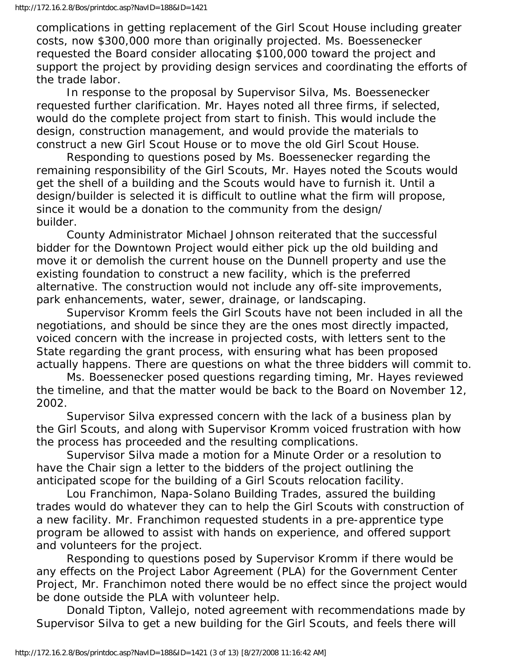complications in getting replacement of the Girl Scout House including greater costs, now \$300,000 more than originally projected. Ms. Boessenecker requested the Board consider allocating \$100,000 toward the project and support the project by providing design services and coordinating the efforts of the trade labor.

 In response to the proposal by Supervisor Silva, Ms. Boessenecker requested further clarification. Mr. Hayes noted all three firms, if selected, would do the complete project from start to finish. This would include the design, construction management, and would provide the materials to construct a new Girl Scout House or to move the old Girl Scout House.

 Responding to questions posed by Ms. Boessenecker regarding the remaining responsibility of the Girl Scouts, Mr. Hayes noted the Scouts would get the shell of a building and the Scouts would have to furnish it. Until a design/builder is selected it is difficult to outline what the firm will propose, since it would be a donation to the community from the design/ builder.

 County Administrator Michael Johnson reiterated that the successful bidder for the Downtown Project would either pick up the old building and move it or demolish the current house on the Dunnell property and use the existing foundation to construct a new facility, which is the preferred alternative. The construction would not include any off-site improvements, park enhancements, water, sewer, drainage, or landscaping.

 Supervisor Kromm feels the Girl Scouts have not been included in all the negotiations, and should be since they are the ones most directly impacted, voiced concern with the increase in projected costs, with letters sent to the State regarding the grant process, with ensuring what has been proposed actually happens. There are questions on what the three bidders will commit to.

 Ms. Boessenecker posed questions regarding timing, Mr. Hayes reviewed the timeline, and that the matter would be back to the Board on November 12, 2002.

 Supervisor Silva expressed concern with the lack of a business plan by the Girl Scouts, and along with Supervisor Kromm voiced frustration with how the process has proceeded and the resulting complications.

 Supervisor Silva made a motion for a Minute Order or a resolution to have the Chair sign a letter to the bidders of the project outlining the anticipated scope for the building of a Girl Scouts relocation facility.

 Lou Franchimon, Napa-Solano Building Trades, assured the building trades would do whatever they can to help the Girl Scouts with construction of a new facility. Mr. Franchimon requested students in a pre-apprentice type program be allowed to assist with hands on experience, and offered support and volunteers for the project.

 Responding to questions posed by Supervisor Kromm if there would be any effects on the Project Labor Agreement (PLA) for the Government Center Project, Mr. Franchimon noted there would be no effect since the project would be done outside the PLA with volunteer help.

 Donald Tipton, Vallejo, noted agreement with recommendations made by Supervisor Silva to get a new building for the Girl Scouts, and feels there will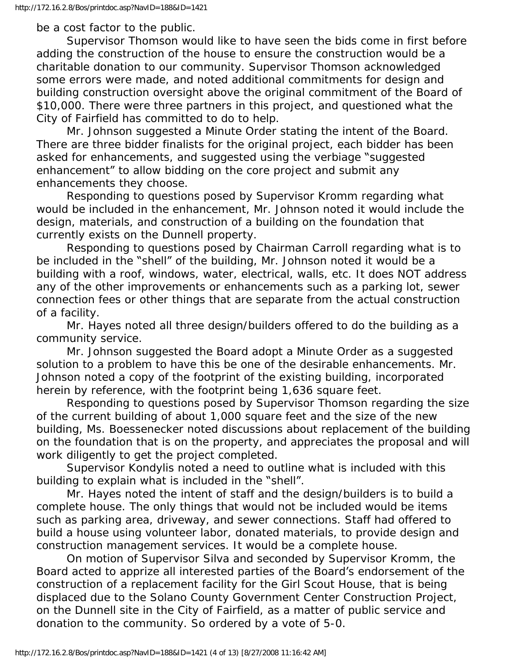be a cost factor to the public.

 Supervisor Thomson would like to have seen the bids come in first before adding the construction of the house to ensure the construction would be a charitable donation to our community. Supervisor Thomson acknowledged some errors were made, and noted additional commitments for design and building construction oversight above the original commitment of the Board of \$10,000. There were three partners in this project, and questioned what the City of Fairfield has committed to do to help.

 Mr. Johnson suggested a Minute Order stating the intent of the Board. There are three bidder finalists for the original project, each bidder has been asked for enhancements, and suggested using the verbiage "suggested enhancement" to allow bidding on the core project and submit any enhancements they choose.

 Responding to questions posed by Supervisor Kromm regarding what would be included in the enhancement, Mr. Johnson noted it would include the design, materials, and construction of a building on the foundation that currently exists on the Dunnell property.

 Responding to questions posed by Chairman Carroll regarding what is to be included in the "shell" of the building, Mr. Johnson noted it would be a building with a roof, windows, water, electrical, walls, etc. It does NOT address any of the other improvements or enhancements such as a parking lot, sewer connection fees or other things that are separate from the actual construction of a facility.

 Mr. Hayes noted all three design/builders offered to do the building as a community service.

 Mr. Johnson suggested the Board adopt a Minute Order as a suggested solution to a problem to have this be one of the desirable enhancements. Mr. Johnson noted a copy of the footprint of the existing building, incorporated herein by reference, with the footprint being 1,636 square feet.

 Responding to questions posed by Supervisor Thomson regarding the size of the current building of about 1,000 square feet and the size of the new building, Ms. Boessenecker noted discussions about replacement of the building on the foundation that is on the property, and appreciates the proposal and will work diligently to get the project completed.

 Supervisor Kondylis noted a need to outline what is included with this building to explain what is included in the "shell".

 Mr. Hayes noted the intent of staff and the design/builders is to build a complete house. The only things that would not be included would be items such as parking area, driveway, and sewer connections. Staff had offered to build a house using volunteer labor, donated materials, to provide design and construction management services. It would be a complete house.

 On motion of Supervisor Silva and seconded by Supervisor Kromm, the Board acted to apprize all interested parties of the Board's endorsement of the construction of a replacement facility for the Girl Scout House, that is being displaced due to the Solano County Government Center Construction Project, on the Dunnell site in the City of Fairfield, as a matter of public service and donation to the community. So ordered by a vote of 5-0.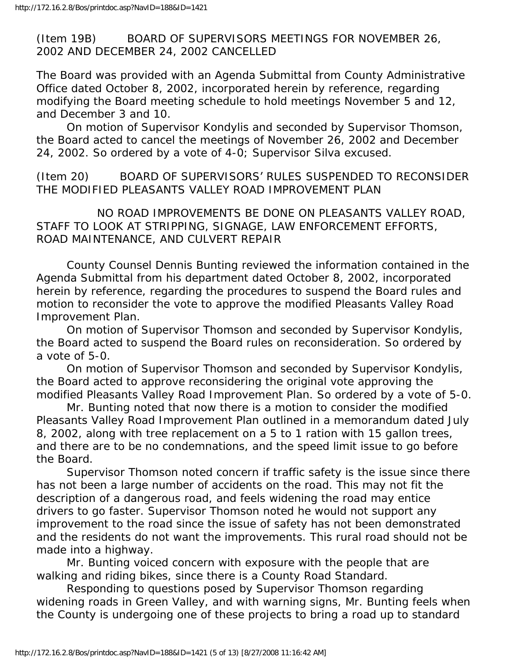(Item 19B) BOARD OF SUPERVISORS MEETINGS FOR NOVEMBER 26, 2002 AND DECEMBER 24, 2002 CANCELLED

The Board was provided with an Agenda Submittal from County Administrative Office dated October 8, 2002, incorporated herein by reference, regarding modifying the Board meeting schedule to hold meetings November 5 and 12, and December 3 and 10.

 On motion of Supervisor Kondylis and seconded by Supervisor Thomson, the Board acted to cancel the meetings of November 26, 2002 and December 24, 2002. So ordered by a vote of 4-0; Supervisor Silva excused.

(Item 20) BOARD OF SUPERVISORS' RULES SUSPENDED TO RECONSIDER THE MODIFIED PLEASANTS VALLEY ROAD IMPROVEMENT PLAN

 NO ROAD IMPROVEMENTS BE DONE ON PLEASANTS VALLEY ROAD, STAFF TO LOOK AT STRIPPING, SIGNAGE, LAW ENFORCEMENT EFFORTS, ROAD MAINTENANCE, AND CULVERT REPAIR

 County Counsel Dennis Bunting reviewed the information contained in the Agenda Submittal from his department dated October 8, 2002, incorporated herein by reference, regarding the procedures to suspend the Board rules and motion to reconsider the vote to approve the modified Pleasants Valley Road Improvement Plan.

 On motion of Supervisor Thomson and seconded by Supervisor Kondylis, the Board acted to suspend the Board rules on reconsideration. So ordered by a vote of 5-0.

 On motion of Supervisor Thomson and seconded by Supervisor Kondylis, the Board acted to approve reconsidering the original vote approving the modified Pleasants Valley Road Improvement Plan. So ordered by a vote of 5-0.

 Mr. Bunting noted that now there is a motion to consider the modified Pleasants Valley Road Improvement Plan outlined in a memorandum dated July 8, 2002, along with tree replacement on a 5 to 1 ration with 15 gallon trees, and there are to be no condemnations, and the speed limit issue to go before the Board.

 Supervisor Thomson noted concern if traffic safety is the issue since there has not been a large number of accidents on the road. This may not fit the description of a dangerous road, and feels widening the road may entice drivers to go faster. Supervisor Thomson noted he would not support any improvement to the road since the issue of safety has not been demonstrated and the residents do not want the improvements. This rural road should not be made into a highway.

 Mr. Bunting voiced concern with exposure with the people that are walking and riding bikes, since there is a County Road Standard.

 Responding to questions posed by Supervisor Thomson regarding widening roads in Green Valley, and with warning signs, Mr. Bunting feels when the County is undergoing one of these projects to bring a road up to standard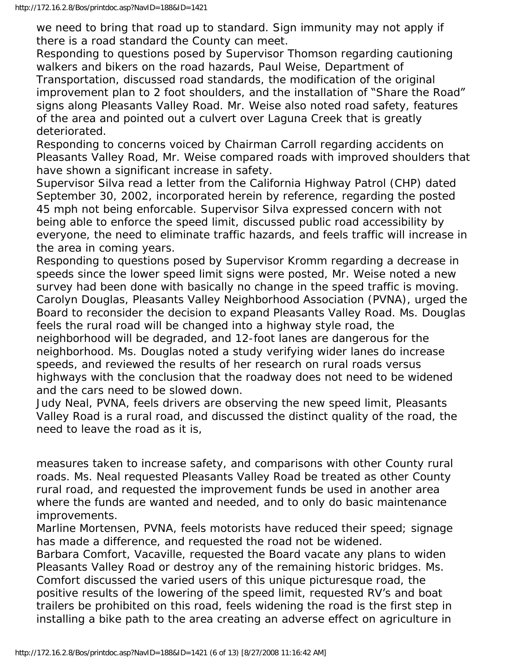we need to bring that road up to standard. Sign immunity may not apply if there is a road standard the County can meet.

Responding to questions posed by Supervisor Thomson regarding cautioning walkers and bikers on the road hazards, Paul Weise, Department of Transportation, discussed road standards, the modification of the original improvement plan to 2 foot shoulders, and the installation of "Share the Road" signs along Pleasants Valley Road. Mr. Weise also noted road safety, features of the area and pointed out a culvert over Laguna Creek that is greatly deteriorated.

Responding to concerns voiced by Chairman Carroll regarding accidents on Pleasants Valley Road, Mr. Weise compared roads with improved shoulders that have shown a significant increase in safety.

Supervisor Silva read a letter from the California Highway Patrol (CHP) dated September 30, 2002, incorporated herein by reference, regarding the posted 45 mph not being enforcable. Supervisor Silva expressed concern with not being able to enforce the speed limit, discussed public road accessibility by everyone, the need to eliminate traffic hazards, and feels traffic will increase in the area in coming years.

Responding to questions posed by Supervisor Kromm regarding a decrease in speeds since the lower speed limit signs were posted, Mr. Weise noted a new survey had been done with basically no change in the speed traffic is moving. Carolyn Douglas, Pleasants Valley Neighborhood Association (PVNA), urged the Board to reconsider the decision to expand Pleasants Valley Road. Ms. Douglas feels the rural road will be changed into a highway style road, the neighborhood will be degraded, and 12-foot lanes are dangerous for the neighborhood. Ms. Douglas noted a study verifying wider lanes do increase speeds, and reviewed the results of her research on rural roads versus

highways with the conclusion that the roadway does not need to be widened and the cars need to be slowed down.

Judy Neal, PVNA, feels drivers are observing the new speed limit, Pleasants Valley Road is a rural road, and discussed the distinct quality of the road, the need to leave the road as it is,

measures taken to increase safety, and comparisons with other County rural roads. Ms. Neal requested Pleasants Valley Road be treated as other County rural road, and requested the improvement funds be used in another area where the funds are wanted and needed, and to only do basic maintenance improvements.

Marline Mortensen, PVNA, feels motorists have reduced their speed; signage has made a difference, and requested the road not be widened.

Barbara Comfort, Vacaville, requested the Board vacate any plans to widen Pleasants Valley Road or destroy any of the remaining historic bridges. Ms. Comfort discussed the varied users of this unique picturesque road, the positive results of the lowering of the speed limit, requested RV's and boat trailers be prohibited on this road, feels widening the road is the first step in installing a bike path to the area creating an adverse effect on agriculture in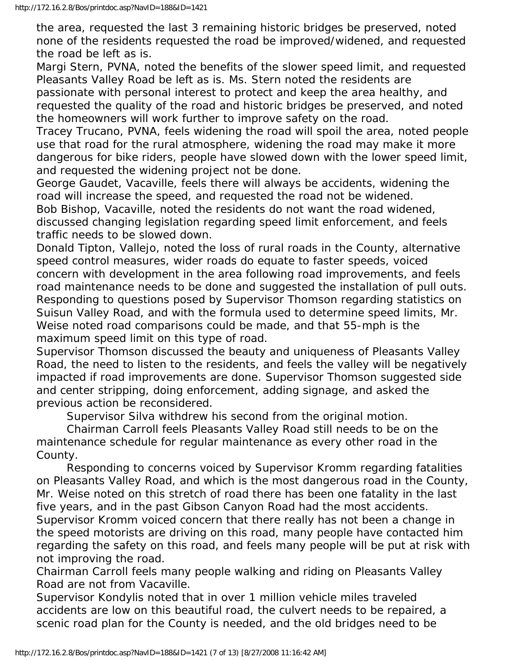the area, requested the last 3 remaining historic bridges be preserved, noted none of the residents requested the road be improved/widened, and requested the road be left as is.

Margi Stern, PVNA, noted the benefits of the slower speed limit, and requested Pleasants Valley Road be left as is. Ms. Stern noted the residents are passionate with personal interest to protect and keep the area healthy, and requested the quality of the road and historic bridges be preserved, and noted

the homeowners will work further to improve safety on the road.

Tracey Trucano, PVNA, feels widening the road will spoil the area, noted people use that road for the rural atmosphere, widening the road may make it more dangerous for bike riders, people have slowed down with the lower speed limit, and requested the widening project not be done.

George Gaudet, Vacaville, feels there will always be accidents, widening the road will increase the speed, and requested the road not be widened. Bob Bishop, Vacaville, noted the residents do not want the road widened, discussed changing legislation regarding speed limit enforcement, and feels traffic needs to be slowed down.

Donald Tipton, Vallejo, noted the loss of rural roads in the County, alternative speed control measures, wider roads do equate to faster speeds, voiced concern with development in the area following road improvements, and feels road maintenance needs to be done and suggested the installation of pull outs. Responding to questions posed by Supervisor Thomson regarding statistics on Suisun Valley Road, and with the formula used to determine speed limits, Mr. Weise noted road comparisons could be made, and that 55-mph is the maximum speed limit on this type of road.

Supervisor Thomson discussed the beauty and uniqueness of Pleasants Valley Road, the need to listen to the residents, and feels the valley will be negatively impacted if road improvements are done. Supervisor Thomson suggested side and center stripping, doing enforcement, adding signage, and asked the previous action be reconsidered.

Supervisor Silva withdrew his second from the original motion.

 Chairman Carroll feels Pleasants Valley Road still needs to be on the maintenance schedule for regular maintenance as every other road in the County.

 Responding to concerns voiced by Supervisor Kromm regarding fatalities on Pleasants Valley Road, and which is the most dangerous road in the County, Mr. Weise noted on this stretch of road there has been one fatality in the last five years, and in the past Gibson Canyon Road had the most accidents. Supervisor Kromm voiced concern that there really has not been a change in the speed motorists are driving on this road, many people have contacted him regarding the safety on this road, and feels many people will be put at risk with not improving the road.

Chairman Carroll feels many people walking and riding on Pleasants Valley Road are not from Vacaville.

Supervisor Kondylis noted that in over 1 million vehicle miles traveled accidents are low on this beautiful road, the culvert needs to be repaired, a scenic road plan for the County is needed, and the old bridges need to be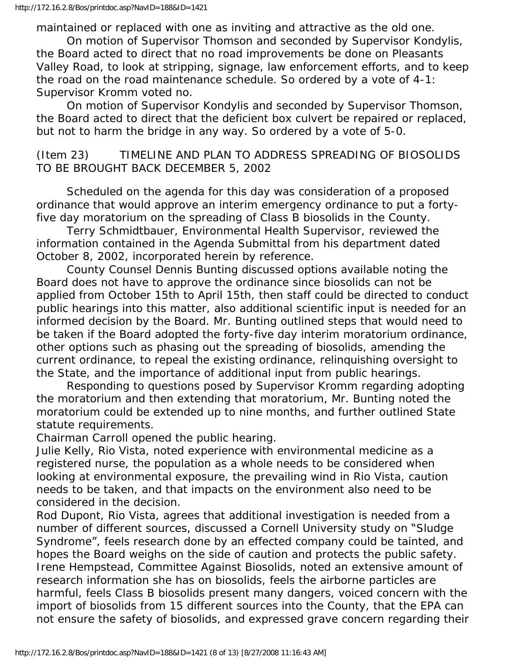maintained or replaced with one as inviting and attractive as the old one.

 On motion of Supervisor Thomson and seconded by Supervisor Kondylis, the Board acted to direct that no road improvements be done on Pleasants Valley Road, to look at stripping, signage, law enforcement efforts, and to keep the road on the road maintenance schedule. So ordered by a vote of 4-1: Supervisor Kromm voted no.

 On motion of Supervisor Kondylis and seconded by Supervisor Thomson, the Board acted to direct that the deficient box culvert be repaired or replaced, but not to harm the bridge in any way. So ordered by a vote of 5-0.

(Item 23) TIMELINE AND PLAN TO ADDRESS SPREADING OF BIOSOLIDS TO BE BROUGHT BACK DECEMBER 5, 2002

 Scheduled on the agenda for this day was consideration of a proposed ordinance that would approve an interim emergency ordinance to put a fortyfive day moratorium on the spreading of Class B biosolids in the County.

 Terry Schmidtbauer, Environmental Health Supervisor, reviewed the information contained in the Agenda Submittal from his department dated October 8, 2002, incorporated herein by reference.

 County Counsel Dennis Bunting discussed options available noting the Board does not have to approve the ordinance since biosolids can not be applied from October 15th to April 15th, then staff could be directed to conduct public hearings into this matter, also additional scientific input is needed for an informed decision by the Board. Mr. Bunting outlined steps that would need to be taken if the Board adopted the forty-five day interim moratorium ordinance, other options such as phasing out the spreading of biosolids, amending the current ordinance, to repeal the existing ordinance, relinquishing oversight to the State, and the importance of additional input from public hearings.

 Responding to questions posed by Supervisor Kromm regarding adopting the moratorium and then extending that moratorium, Mr. Bunting noted the moratorium could be extended up to nine months, and further outlined State statute requirements.

Chairman Carroll opened the public hearing.

Julie Kelly, Rio Vista, noted experience with environmental medicine as a registered nurse, the population as a whole needs to be considered when looking at environmental exposure, the prevailing wind in Rio Vista, caution needs to be taken, and that impacts on the environment also need to be considered in the decision.

Rod Dupont, Rio Vista, agrees that additional investigation is needed from a number of different sources, discussed a Cornell University study on "Sludge Syndrome", feels research done by an effected company could be tainted, and hopes the Board weighs on the side of caution and protects the public safety. Irene Hempstead, Committee Against Biosolids, noted an extensive amount of research information she has on biosolids, feels the airborne particles are harmful, feels Class B biosolids present many dangers, voiced concern with the import of biosolids from 15 different sources into the County, that the EPA can not ensure the safety of biosolids, and expressed grave concern regarding their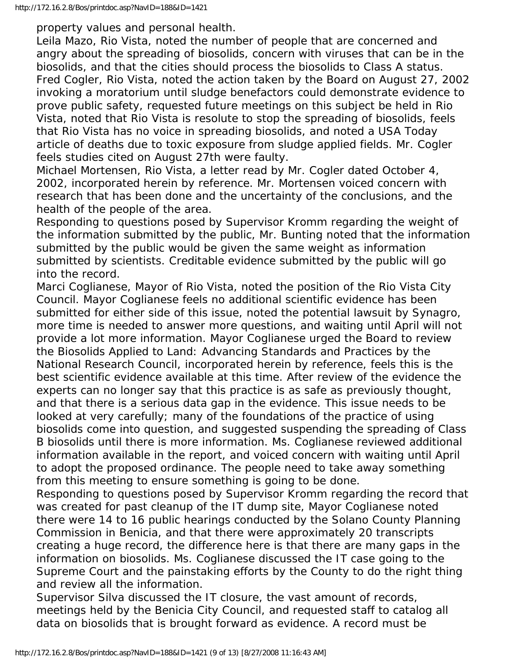property values and personal health.

Leila Mazo, Rio Vista, noted the number of people that are concerned and angry about the spreading of biosolids, concern with viruses that can be in the biosolids, and that the cities should process the biosolids to Class A status. Fred Cogler, Rio Vista, noted the action taken by the Board on August 27, 2002 invoking a moratorium until sludge benefactors could demonstrate evidence to prove public safety, requested future meetings on this subject be held in Rio Vista, noted that Rio Vista is resolute to stop the spreading of biosolids, feels that Rio Vista has no voice in spreading biosolids, and noted a USA Today article of deaths due to toxic exposure from sludge applied fields. Mr. Cogler feels studies cited on August 27th were faulty.

Michael Mortensen, Rio Vista, a letter read by Mr. Cogler dated October 4, 2002, incorporated herein by reference. Mr. Mortensen voiced concern with research that has been done and the uncertainty of the conclusions, and the health of the people of the area.

Responding to questions posed by Supervisor Kromm regarding the weight of the information submitted by the public, Mr. Bunting noted that the information submitted by the public would be given the same weight as information submitted by scientists. Creditable evidence submitted by the public will go into the record.

Marci Coglianese, Mayor of Rio Vista, noted the position of the Rio Vista City Council. Mayor Coglianese feels no additional scientific evidence has been submitted for either side of this issue, noted the potential lawsuit by Synagro, more time is needed to answer more questions, and waiting until April will not provide a lot more information. Mayor Coglianese urged the Board to review the Biosolids Applied to Land: Advancing Standards and Practices by the National Research Council, incorporated herein by reference, feels this is the best scientific evidence available at this time. After review of the evidence the experts can no longer say that this practice is as safe as previously thought, and that there is a serious data gap in the evidence. This issue needs to be looked at very carefully; many of the foundations of the practice of using biosolids come into question, and suggested suspending the spreading of Class B biosolids until there is more information. Ms. Coglianese reviewed additional information available in the report, and voiced concern with waiting until April to adopt the proposed ordinance. The people need to take away something from this meeting to ensure something is going to be done.

Responding to questions posed by Supervisor Kromm regarding the record that was created for past cleanup of the IT dump site, Mayor Coglianese noted there were 14 to 16 public hearings conducted by the Solano County Planning Commission in Benicia, and that there were approximately 20 transcripts creating a huge record, the difference here is that there are many gaps in the information on biosolids. Ms. Coglianese discussed the IT case going to the Supreme Court and the painstaking efforts by the County to do the right thing and review all the information.

Supervisor Silva discussed the IT closure, the vast amount of records, meetings held by the Benicia City Council, and requested staff to catalog all data on biosolids that is brought forward as evidence. A record must be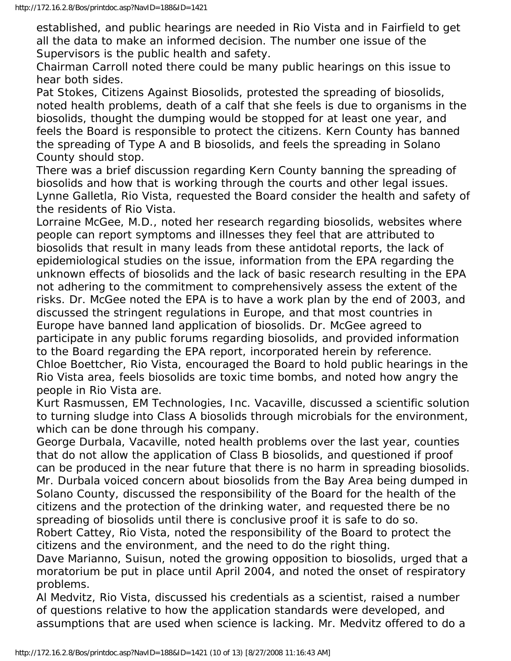established, and public hearings are needed in Rio Vista and in Fairfield to get all the data to make an informed decision. The number one issue of the Supervisors is the public health and safety.

Chairman Carroll noted there could be many public hearings on this issue to hear both sides.

Pat Stokes, Citizens Against Biosolids, protested the spreading of biosolids, noted health problems, death of a calf that she feels is due to organisms in the biosolids, thought the dumping would be stopped for at least one year, and feels the Board is responsible to protect the citizens. Kern County has banned the spreading of Type A and B biosolids, and feels the spreading in Solano County should stop.

There was a brief discussion regarding Kern County banning the spreading of biosolids and how that is working through the courts and other legal issues. Lynne Galletla, Rio Vista, requested the Board consider the health and safety of the residents of Rio Vista.

Lorraine McGee, M.D., noted her research regarding biosolids, websites where people can report symptoms and illnesses they feel that are attributed to biosolids that result in many leads from these antidotal reports, the lack of epidemiological studies on the issue, information from the EPA regarding the unknown effects of biosolids and the lack of basic research resulting in the EPA not adhering to the commitment to comprehensively assess the extent of the risks. Dr. McGee noted the EPA is to have a work plan by the end of 2003, and discussed the stringent regulations in Europe, and that most countries in Europe have banned land application of biosolids. Dr. McGee agreed to participate in any public forums regarding biosolids, and provided information to the Board regarding the EPA report, incorporated herein by reference. Chloe Boettcher, Rio Vista, encouraged the Board to hold public hearings in the Rio Vista area, feels biosolids are toxic time bombs, and noted how angry the people in Rio Vista are.

Kurt Rasmussen, EM Technologies, Inc. Vacaville, discussed a scientific solution to turning sludge into Class A biosolids through microbials for the environment, which can be done through his company.

George Durbala, Vacaville, noted health problems over the last year, counties that do not allow the application of Class B biosolids, and questioned if proof can be produced in the near future that there is no harm in spreading biosolids. Mr. Durbala voiced concern about biosolids from the Bay Area being dumped in Solano County, discussed the responsibility of the Board for the health of the citizens and the protection of the drinking water, and requested there be no spreading of biosolids until there is conclusive proof it is safe to do so.

Robert Cattey, Rio Vista, noted the responsibility of the Board to protect the citizens and the environment, and the need to do the right thing.

Dave Marianno, Suisun, noted the growing opposition to biosolids, urged that a moratorium be put in place until April 2004, and noted the onset of respiratory problems.

Al Medvitz, Rio Vista, discussed his credentials as a scientist, raised a number of questions relative to how the application standards were developed, and assumptions that are used when science is lacking. Mr. Medvitz offered to do a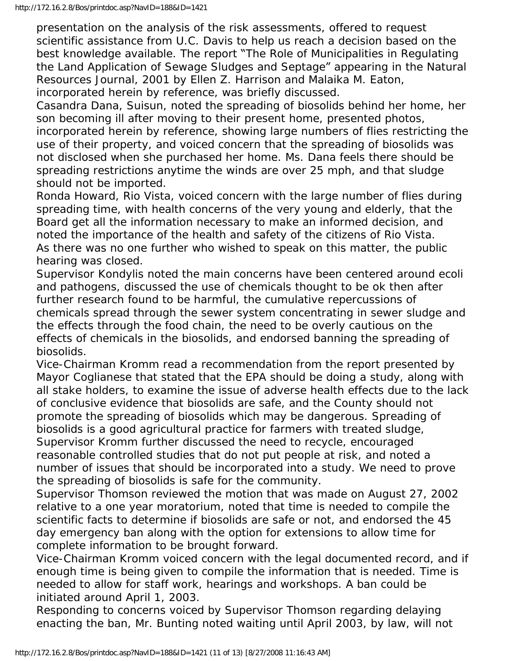presentation on the analysis of the risk assessments, offered to request scientific assistance from U.C. Davis to help us reach a decision based on the best knowledge available. The report "The Role of Municipalities in Regulating the Land Application of Sewage Sludges and Septage" appearing in the Natural Resources Journal, 2001 by Ellen Z. Harrison and Malaika M. Eaton, incorporated herein by reference, was briefly discussed.

Casandra Dana, Suisun, noted the spreading of biosolids behind her home, her son becoming ill after moving to their present home, presented photos, incorporated herein by reference, showing large numbers of flies restricting the use of their property, and voiced concern that the spreading of biosolids was not disclosed when she purchased her home. Ms. Dana feels there should be spreading restrictions anytime the winds are over 25 mph, and that sludge should not be imported.

Ronda Howard, Rio Vista, voiced concern with the large number of flies during spreading time, with health concerns of the very young and elderly, that the Board get all the information necessary to make an informed decision, and noted the importance of the health and safety of the citizens of Rio Vista. As there was no one further who wished to speak on this matter, the public hearing was closed.

Supervisor Kondylis noted the main concerns have been centered around ecoli and pathogens, discussed the use of chemicals thought to be ok then after further research found to be harmful, the cumulative repercussions of chemicals spread through the sewer system concentrating in sewer sludge and the effects through the food chain, the need to be overly cautious on the effects of chemicals in the biosolids, and endorsed banning the spreading of biosolids.

Vice-Chairman Kromm read a recommendation from the report presented by Mayor Coglianese that stated that the EPA should be doing a study, along with all stake holders, to examine the issue of adverse health effects due to the lack of conclusive evidence that biosolids are safe, and the County should not promote the spreading of biosolids which may be dangerous. Spreading of biosolids is a good agricultural practice for farmers with treated sludge, Supervisor Kromm further discussed the need to recycle, encouraged reasonable controlled studies that do not put people at risk, and noted a number of issues that should be incorporated into a study. We need to prove the spreading of biosolids is safe for the community.

Supervisor Thomson reviewed the motion that was made on August 27, 2002 relative to a one year moratorium, noted that time is needed to compile the scientific facts to determine if biosolids are safe or not, and endorsed the 45 day emergency ban along with the option for extensions to allow time for complete information to be brought forward.

Vice-Chairman Kromm voiced concern with the legal documented record, and if enough time is being given to compile the information that is needed. Time is needed to allow for staff work, hearings and workshops. A ban could be initiated around April 1, 2003.

Responding to concerns voiced by Supervisor Thomson regarding delaying enacting the ban, Mr. Bunting noted waiting until April 2003, by law, will not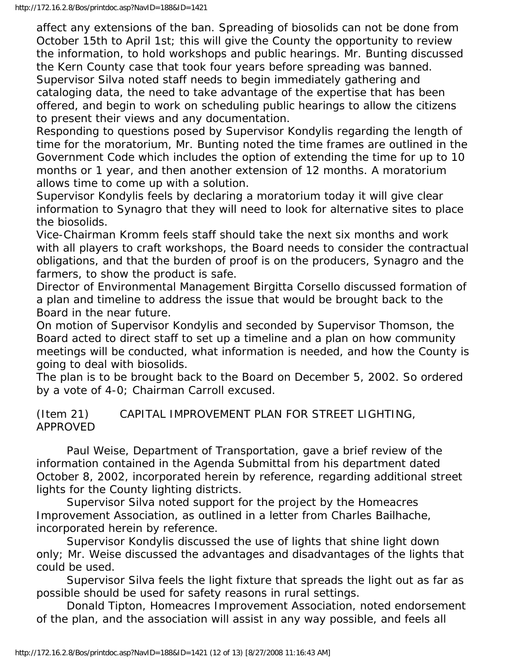affect any extensions of the ban. Spreading of biosolids can not be done from October 15th to April 1st; this will give the County the opportunity to review the information, to hold workshops and public hearings. Mr. Bunting discussed the Kern County case that took four years before spreading was banned. Supervisor Silva noted staff needs to begin immediately gathering and cataloging data, the need to take advantage of the expertise that has been offered, and begin to work on scheduling public hearings to allow the citizens to present their views and any documentation.

Responding to questions posed by Supervisor Kondylis regarding the length of time for the moratorium, Mr. Bunting noted the time frames are outlined in the Government Code which includes the option of extending the time for up to 10 months or 1 year, and then another extension of 12 months. A moratorium allows time to come up with a solution.

Supervisor Kondylis feels by declaring a moratorium today it will give clear information to Synagro that they will need to look for alternative sites to place the biosolids.

Vice-Chairman Kromm feels staff should take the next six months and work with all players to craft workshops, the Board needs to consider the contractual obligations, and that the burden of proof is on the producers, Synagro and the farmers, to show the product is safe.

Director of Environmental Management Birgitta Corsello discussed formation of a plan and timeline to address the issue that would be brought back to the Board in the near future.

On motion of Supervisor Kondylis and seconded by Supervisor Thomson, the Board acted to direct staff to set up a timeline and a plan on how community meetings will be conducted, what information is needed, and how the County is going to deal with biosolids.

The plan is to be brought back to the Board on December 5, 2002. So ordered by a vote of 4-0; Chairman Carroll excused.

## (Item 21) CAPITAL IMPROVEMENT PLAN FOR STREET LIGHTING, APPROVED

 Paul Weise, Department of Transportation, gave a brief review of the information contained in the Agenda Submittal from his department dated October 8, 2002, incorporated herein by reference, regarding additional street lights for the County lighting districts.

 Supervisor Silva noted support for the project by the Homeacres Improvement Association, as outlined in a letter from Charles Bailhache, incorporated herein by reference.

 Supervisor Kondylis discussed the use of lights that shine light down only; Mr. Weise discussed the advantages and disadvantages of the lights that could be used.

 Supervisor Silva feels the light fixture that spreads the light out as far as possible should be used for safety reasons in rural settings.

 Donald Tipton, Homeacres Improvement Association, noted endorsement of the plan, and the association will assist in any way possible, and feels all